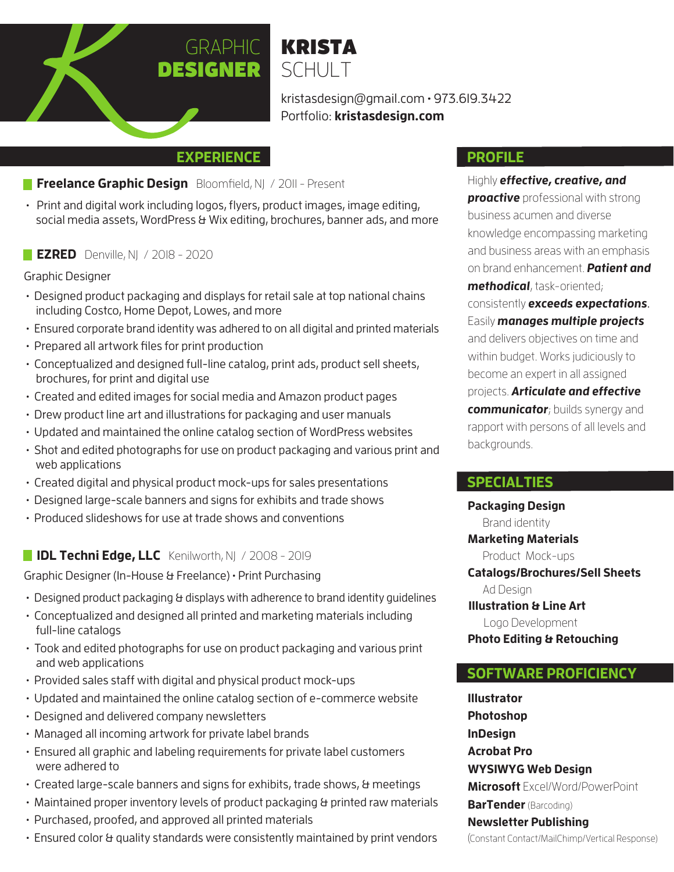

kristasdesign@gmail.com • 973.619.3422 Portfolio: **kristasdesign.com**

### **EXPERIENCE**

- **Freelance Graphic Design** Bloomfield, NJ / 2011 Present
- Print and digital work including logos, flyers, product images, image editing, social media assets, WordPress & Wix editing, brochures, banner ads, and more

**EZRED** Denville, NJ / 2018 - 2020

#### Graphic Designer

- Designed product packaging and displays for retail sale at top national chains including Costco, Home Depot, Lowes, and more
- Ensured corporate brand identity was adhered to on all digital and printed materials
- Prepared all artwork files for print production
- Conceptualized and designed full-line catalog, print ads, product sell sheets, brochures, for print and digital use
- Created and edited images for social media and Amazon product pages
- Drew product line art and illustrations for packaging and user manuals
- Updated and maintained the online catalog section of WordPress websites
- Shot and edited photographs for use on product packaging and various print and web applications
- Created digital and physical product mock-ups for sales presentations
- Designed large-scale banners and signs for exhibits and trade shows
- Produced slideshows for use at trade shows and conventions

# **IDL Techni Edge, LLC** Kenilworth, NJ / 2008 - 2019

Graphic Designer (In-House & Freelance) • Print Purchasing

- Designed product packaging & displays with adherence to brand identity guidelines
- Conceptualized and designed all printed and marketing materials including full-line catalogs
- Took and edited photographs for use on product packaging and various print and web applications
- Provided sales staff with digital and physical product mock-ups
- Updated and maintained the online catalog section of e-commerce website
- Designed and delivered company newsletters
- Managed all incoming artwork for private label brands
- Ensured all graphic and labeling requirements for private label customers were adhered to
- Created large-scale banners and signs for exhibits, trade shows, & meetings
- Maintained proper inventory levels of product packaging & printed raw materials
- Purchased, proofed, and approved all printed materials
- Ensured color & quality standards were consistently maintained by print vendors

### **PROFILE**

Highly **effective, creative, and proactive** professional with strong business acumen and diverse knowledge encompassing marketing and business areas with an emphasis on brand enhancement. **Patient and methodical**, task-oriented; consistently **exceeds expectations**. Easily **manages multiple projects** and delivers objectives on time and within budget. Works judiciously to become an expert in all assigned projects. **Articulate and effective communicator**; builds synergy and rapport with persons of all levels and backgrounds.

## **SPECIALTIES**

**Packaging Design Photo Editing & Retouching** Logo Development Product Mock-ups Ad Design **Illustration & Line Art Marketing Materials Catalogs/Brochures/Sell Sheets** Brand identity

## **SOFTWARE PROFICIENCY**

**Illustrator Photoshop InDesign Acrobat Pro WYSIWYG Web Design Microsoft** Excel/Word/PowerPoint **BarTender** (Barcoding) **Newsletter Publishing**  (Constant Contact/MailChimp/Vertical Response)